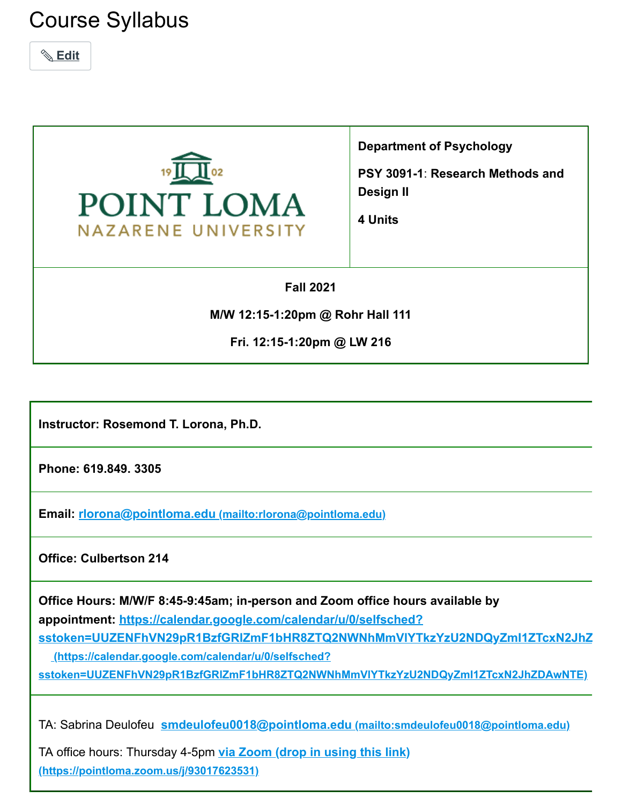# Course Syllabus





**Department of Psychology**

**PSY 3091-1**: **Research Methods and Design II**

**4 Units**

**Fall 2021**

**M/W 12:15-1:20pm @ Rohr Hall 111**

**Fri. 12:15-1:20pm @ LW 216**

**Instructor: Rosemond T. Lorona, Ph.D.**

**Phone: 619.849. 3305**

**Email: rlorona@pointloma.edu [\(mailto:rlorona@pointloma.edu\)](mailto:rlorona@pointloma.edu)**

**Office: Culbertson 214**

**Office Hours: M/W/F 8:45-9:45am; in-person and Zoom office hours available by appointment: https://calendar.google.com/calendar/u/0/selfsched?**

**[sstoken=UUZENFhVN29pR1BzfGRlZmF1bHR8ZTQ2NWNhMmVlYTkzYzU2NDQyZmI1ZTcxN2JhZ](https://calendar.google.com/calendar/u/0/selfsched?sstoken=UUZENFhVN29pR1BzfGRlZmF1bHR8ZTQ2NWNhMmVlYTkzYzU2NDQyZmI1ZTcxN2JhZDAwNTE)**

**(https://calendar.google.com/calendar/u/0/selfsched?**

**sstoken=UUZENFhVN29pR1BzfGRlZmF1bHR8ZTQ2NWNhMmVlYTkzYzU2NDQyZmI1ZTcxN2JhZDAwNTE)**

TA: Sabrina Deulofeu **smdeulofeu0018@pointloma.edu [\(mailto:smdeulofeu0018@pointloma.edu\)](mailto:smdeulofeu0018@pointloma.edu)**

TA office hours: Thursday 4-5pm **via Zoom (drop in using this link) [\(https://pointloma.zoom.us/j/93017623531\)](https://pointloma.zoom.us/j/93017623531)**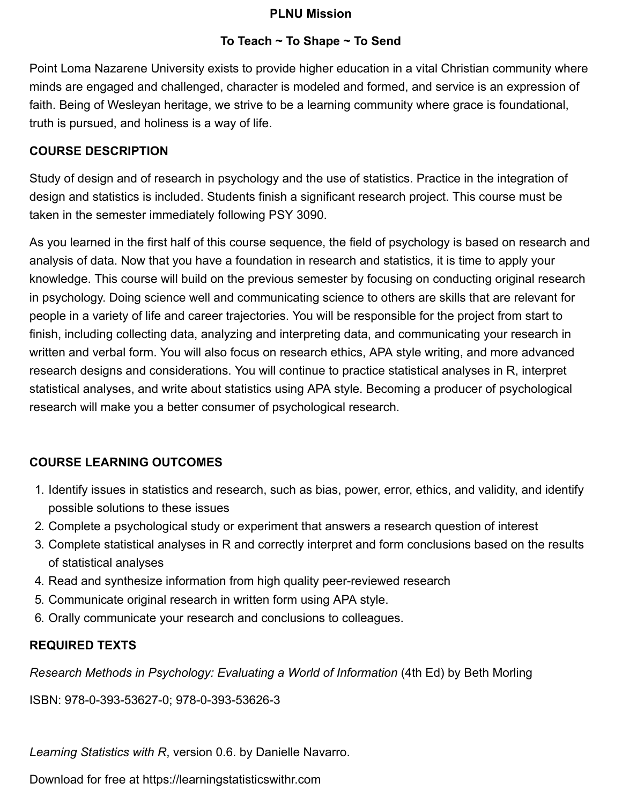#### **PLNU Mission**

### **To Teach ~ To Shape ~ To Send**

Point Loma Nazarene University exists to provide higher education in a vital Christian community where minds are engaged and challenged, character is modeled and formed, and service is an expression of faith. Being of Wesleyan heritage, we strive to be a learning community where grace is foundational, truth is pursued, and holiness is a way of life.

### **COURSE DESCRIPTION**

Study of design and of research in psychology and the use of statistics. Practice in the integration of design and statistics is included. Students finish a significant research project. This course must be taken in the semester immediately following PSY 3090.

As you learned in the first half of this course sequence, the field of psychology is based on research and analysis of data. Now that you have a foundation in research and statistics, it is time to apply your knowledge. This course will build on the previous semester by focusing on conducting original research in psychology. Doing science well and communicating science to others are skills that are relevant for people in a variety of life and career trajectories. You will be responsible for the project from start to finish, including collecting data, analyzing and interpreting data, and communicating your research in written and verbal form. You will also focus on research ethics, APA style writing, and more advanced research designs and considerations. You will continue to practice statistical analyses in R, interpret statistical analyses, and write about statistics using APA style. Becoming a producer of psychological research will make you a better consumer of psychological research.

## **COURSE LEARNING OUTCOMES**

- 1. Identify issues in statistics and research, such as bias, power, error, ethics, and validity, and identify possible solutions to these issues
- 2. Complete a psychological study or experiment that answers a research question of interest
- 3. Complete statistical analyses in R and correctly interpret and form conclusions based on the results of statistical analyses
- 4. Read and synthesize information from high quality peer-reviewed research
- 5. Communicate original research in written form using APA style.
- 6. Orally communicate your research and conclusions to colleagues.

## **REQUIRED TEXTS**

*Research Methods in Psychology: Evaluating a World of Information* (4th Ed) by Beth Morling

ISBN: 978-0-393-53627-0; 978-0-393-53626-3

*Learning Statistics with R*, version 0.6. by Danielle Navarro.

Download for free at https://learningstatisticswithr.com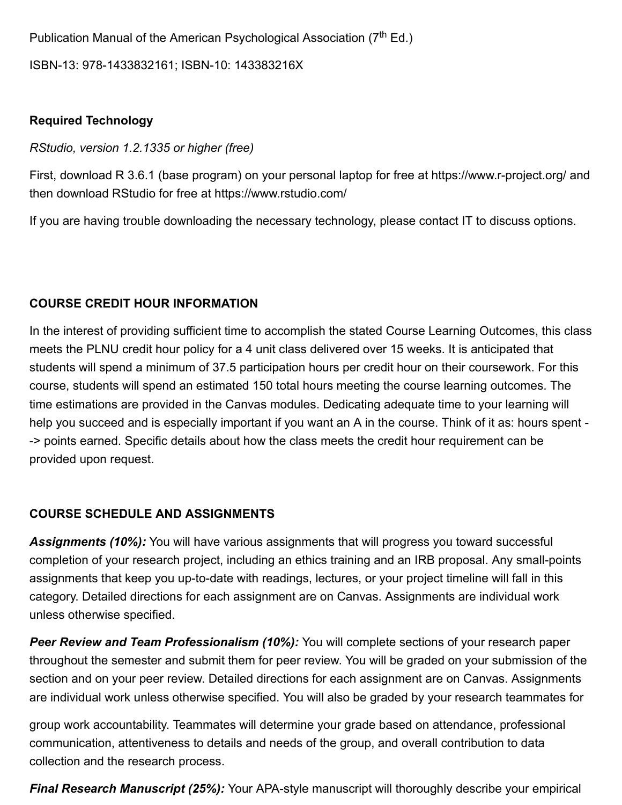Publication Manual of the American Psychological Association (7<sup>th</sup> Ed.) ISBN-13: 978-1433832161; ISBN-10: 143383216X

#### **Required Technology**

*RStudio, version 1.2.1335 or higher (free)*

First, download R 3.6.1 (base program) on your personal laptop for free at https://www.r-project.org/ and then download RStudio for free at https://www.rstudio.com/

If you are having trouble downloading the necessary technology, please contact IT to discuss options.

#### **COURSE CREDIT HOUR INFORMATION**

In the interest of providing sufficient time to accomplish the stated Course Learning Outcomes, this class meets the PLNU credit hour policy for a 4 unit class delivered over 15 weeks. It is anticipated that students will spend a minimum of 37.5 participation hours per credit hour on their coursework. For this course, students will spend an estimated 150 total hours meeting the course learning outcomes. The time estimations are provided in the Canvas modules. Dedicating adequate time to your learning will help you succeed and is especially important if you want an A in the course. Think of it as: hours spent - -> points earned. Specific details about how the class meets the credit hour requirement can be provided upon request.

#### **COURSE SCHEDULE AND ASSIGNMENTS**

*Assignments (10%):* You will have various assignments that will progress you toward successful completion of your research project, including an ethics training and an IRB proposal. Any small-points assignments that keep you up-to-date with readings, lectures, or your project timeline will fall in this category. Detailed directions for each assignment are on Canvas. Assignments are individual work unless otherwise specified.

*Peer Review and Team Professionalism (10%):* You will complete sections of your research paper throughout the semester and submit them for peer review. You will be graded on your submission of the section and on your peer review. Detailed directions for each assignment are on Canvas. Assignments are individual work unless otherwise specified. You will also be graded by your research teammates for

group work accountability. Teammates will determine your grade based on attendance, professional communication, attentiveness to details and needs of the group, and overall contribution to data collection and the research process.

*Final Research Manuscript (25%):* Your APA-style manuscript will thoroughly describe your empirical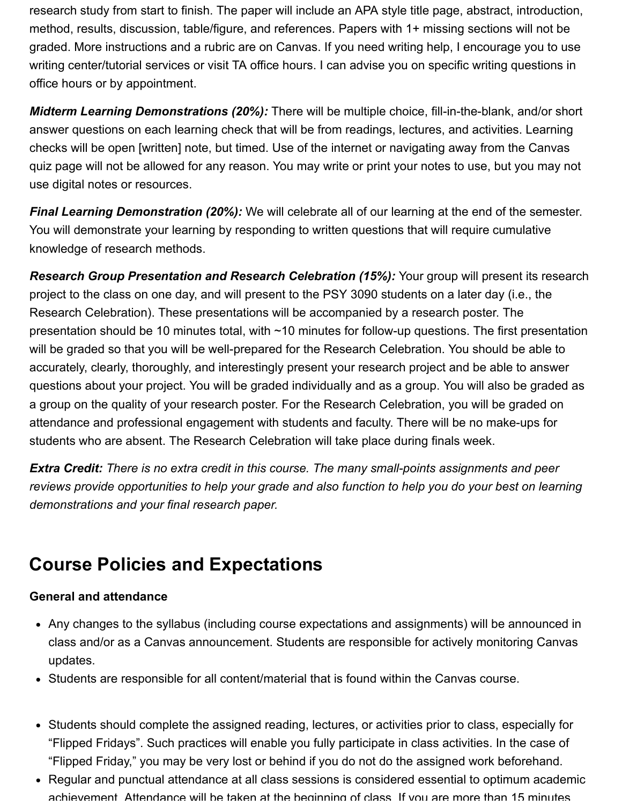research study from start to finish. The paper will include an APA style title page, abstract, introduction, method, results, discussion, table/figure, and references. Papers with 1+ missing sections will not be graded. More instructions and a rubric are on Canvas. If you need writing help, I encourage you to use writing center/tutorial services or visit TA office hours. I can advise you on specific writing questions in office hours or by appointment.

*Midterm Learning Demonstrations (20%):* There will be multiple choice, fill-in-the-blank, and/or short answer questions on each learning check that will be from readings, lectures, and activities. Learning checks will be open [written] note, but timed. Use of the internet or navigating away from the Canvas quiz page will not be allowed for any reason. You may write or print your notes to use, but you may not use digital notes or resources.

*Final Learning Demonstration (20%):* We will celebrate all of our learning at the end of the semester. You will demonstrate your learning by responding to written questions that will require cumulative knowledge of research methods.

*Research Group Presentation and Research Celebration (15%):* Your group will present its research project to the class on one day, and will present to the PSY 3090 students on a later day (i.e., the Research Celebration). These presentations will be accompanied by a research poster. The presentation should be 10 minutes total, with ~10 minutes for follow-up questions. The first presentation will be graded so that you will be well-prepared for the Research Celebration. You should be able to accurately, clearly, thoroughly, and interestingly present your research project and be able to answer questions about your project. You will be graded individually and as a group. You will also be graded as a group on the quality of your research poster. For the Research Celebration, you will be graded on attendance and professional engagement with students and faculty. There will be no make-ups for students who are absent. The Research Celebration will take place during finals week.

*Extra Credit: There is no extra credit in this course. The many small-points assignments and peer reviews provide opportunities to help your grade and also function to help you do your best on learning demonstrations and your final research paper.*

## **Course Policies and Expectations**

### **General and attendance**

- Any changes to the syllabus (including course expectations and assignments) will be announced in class and/or as a Canvas announcement. Students are responsible for actively monitoring Canvas updates.
- Students are responsible for all content/material that is found within the Canvas course.
- Students should complete the assigned reading, lectures, or activities prior to class, especially for "Flipped Fridays". Such practices will enable you fully participate in class activities. In the case of "Flipped Friday," you may be very lost or behind if you do not do the assigned work beforehand.
- Regular and punctual attendance at all class sessions is considered essential to optimum academic achievement Attendance will be taken at the beginning of class If you are more than 15 minutes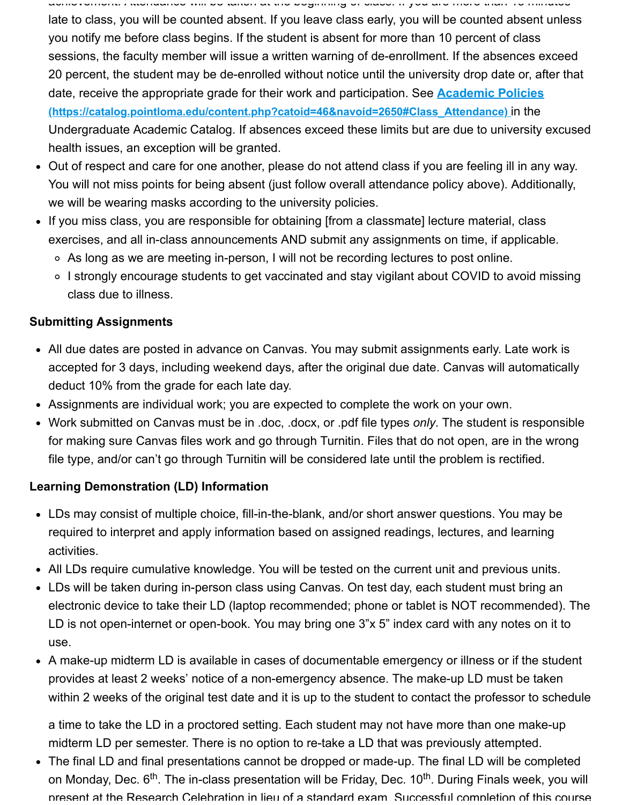achievement. Attendance will be taken at the beginning of class. If you are more than 15 minutes late to class, you will be counted absent. If you leave class early, you will be counted absent unless you notify me before class begins. If the student is absent for more than 10 percent of class sessions, the faculty member will issue a written warning of de-enrollment. If the absences exceed 20 percent, the student may be de-enrolled without notice until the university drop date or, after that date, receive the appropriate grade for their work and participation. See **Academic Policies [\(https://catalog.pointloma.edu/content.php?catoid=46&navoid=2650#Class\\_Attendance\)](https://catalog.pointloma.edu/content.php?catoid=46&navoid=2650#Class_Attendance)** in the Undergraduate Academic Catalog. If absences exceed these limits but are due to university excused health issues, an exception will be granted.

- Out of respect and care for one another, please do not attend class if you are feeling ill in any way. You will not miss points for being absent (just follow overall attendance policy above). Additionally, we will be wearing masks according to the university policies.
- If you miss class, you are responsible for obtaining [from a classmate] lecture material, class exercises, and all in-class announcements AND submit any assignments on time, if applicable.
	- As long as we are meeting in-person, I will not be recording lectures to post online.
	- ∘ I strongly encourage students to get vaccinated and stay vigilant about COVID to avoid missing class due to illness.

### **Submitting Assignments**

- All due dates are posted in advance on Canvas. You may submit assignments early. Late work is accepted for 3 days, including weekend days, after the original due date. Canvas will automatically deduct 10% from the grade for each late day.
- Assignments are individual work; you are expected to complete the work on your own.
- Work submitted on Canvas must be in .doc, .docx, or .pdf file types *only*. The student is responsible for making sure Canvas files work and go through Turnitin. Files that do not open, are in the wrong file type, and/or can't go through Turnitin will be considered late until the problem is rectified.

### **Learning Demonstration (LD) Information**

- LDs may consist of multiple choice, fill-in-the-blank, and/or short answer questions. You may be required to interpret and apply information based on assigned readings, lectures, and learning activities.
- All LDs require cumulative knowledge. You will be tested on the current unit and previous units.
- LDs will be taken during in-person class using Canvas. On test day, each student must bring an electronic device to take their LD (laptop recommended; phone or tablet is NOT recommended). The LD is not open-internet or open-book. You may bring one 3"x 5" index card with any notes on it to use.
- A make-up midterm LD is available in cases of documentable emergency or illness or if the student provides at least 2 weeks' notice of a non-emergency absence. The make-up LD must be taken within 2 weeks of the original test date and it is up to the student to contact the professor to schedule

a time to take the LD in a proctored setting. Each student may not have more than one make-up midterm LD per semester. There is no option to re-take a LD that was previously attempted.

The final LD and final presentations cannot be dropped or made-up. The final LD will be completed on Monday, Dec. 6<sup>th</sup>. The in-class presentation will be Friday, Dec. 10<sup>th</sup>. During Finals week, you will present at the Research Celebration in lieu of a standard exam Successful completion of this course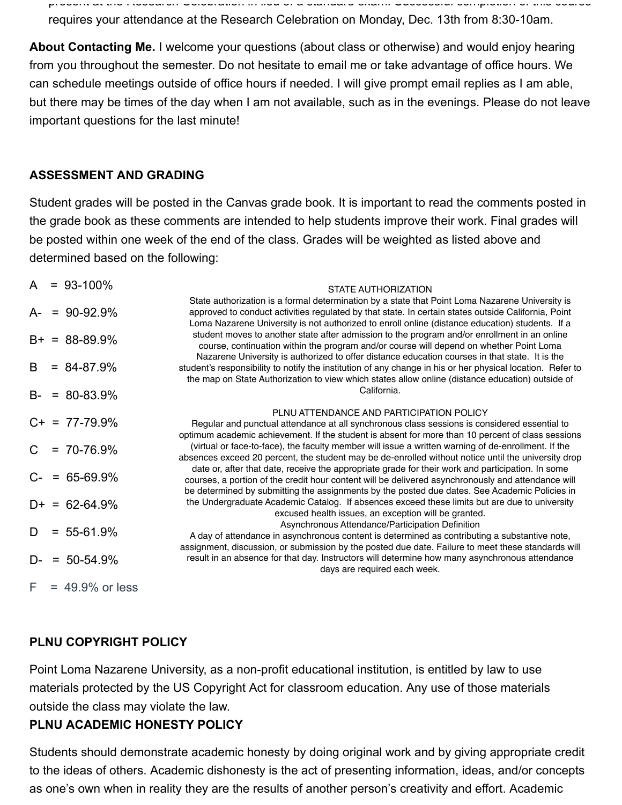present at the Research Celebration in lieu of a standard exam. Successful completion of this course requires your attendance at the Research Celebration on Monday, Dec. 13th from 8:30-10am.

**About Contacting Me.** I welcome your questions (about class or otherwise) and would enjoy hearing from you throughout the semester. Do not hesitate to email me or take advantage of office hours. We can schedule meetings outside of office hours if needed. I will give prompt email replies as I am able, but there may be times of the day when I am not available, such as in the evenings. Please do not leave important questions for the last minute!

#### **ASSESSMENT AND GRADING**

Student grades will be posted in the Canvas grade book. It is important to read the comments posted in the grade book as these comments are intended to help students improve their work. Final grades will be posted within one week of the end of the class. Grades will be weighted as listed above and determined based on the following:

| A  | $= 93 - 100\%$     | STATE AUTHORIZATION                                                                                                                                                                                                                                                                                                                                                                                              |  |  |  |
|----|--------------------|------------------------------------------------------------------------------------------------------------------------------------------------------------------------------------------------------------------------------------------------------------------------------------------------------------------------------------------------------------------------------------------------------------------|--|--|--|
| A- | $= 90 - 92.9%$     | State authorization is a formal determination by a state that Point Loma Nazarene University is<br>approved to conduct activities regulated by that state. In certain states outside California, Point<br>Loma Nazarene University is not authorized to enroll online (distance education) students. If a                                                                                                        |  |  |  |
|    | $B+ = 88-89.9%$    | student moves to another state after admission to the program and/or enrollment in an online<br>course, continuation within the program and/or course will depend on whether Point Loma                                                                                                                                                                                                                          |  |  |  |
| B  | $= 84 - 87.9%$     | Nazarene University is authorized to offer distance education courses in that state. It is the<br>student's responsibility to notify the institution of any change in his or her physical location. Refer to<br>the map on State Authorization to view which states allow online (distance education) outside of                                                                                                 |  |  |  |
|    | $B - = 80 - 83.9%$ | California.                                                                                                                                                                                                                                                                                                                                                                                                      |  |  |  |
|    | $C_{+}$ = 77-79.9% | PLNU ATTENDANCE AND PARTICIPATION POLICY<br>Regular and punctual attendance at all synchronous class sessions is considered essential to<br>optimum academic achievement. If the student is absent for more than 10 percent of class sessions                                                                                                                                                                    |  |  |  |
| C. | $= 70 - 76.9\%$    | (virtual or face-to-face), the faculty member will issue a written warning of de-enrollment. If the<br>absences exceed 20 percent, the student may be de-enrolled without notice until the university drop                                                                                                                                                                                                       |  |  |  |
|    | $C - 65-69.9%$     | date or, after that date, receive the appropriate grade for their work and participation. In some<br>courses, a portion of the credit hour content will be delivered asynchronously and attendance will<br>be determined by submitting the assignments by the posted due dates. See Academic Policies in                                                                                                         |  |  |  |
|    | $D+ = 62-64.9%$    | the Undergraduate Academic Catalog. If absences exceed these limits but are due to university<br>excused health issues, an exception will be granted.<br>Asynchronous Attendance/Participation Definition<br>A day of attendance in asynchronous content is determined as contributing a substantive note,<br>assignment, discussion, or submission by the posted due date. Failure to meet these standards will |  |  |  |
| D  | $= 55 - 61.9%$     |                                                                                                                                                                                                                                                                                                                                                                                                                  |  |  |  |
| D- | $= 50 - 54.9%$     | result in an absence for that day. Instructors will determine how many asynchronous attendance<br>days are required each week.                                                                                                                                                                                                                                                                                   |  |  |  |
| F. | $= 49.9%$ or less  |                                                                                                                                                                                                                                                                                                                                                                                                                  |  |  |  |

#### **PLNU COPYRIGHT POLICY**

Point Loma Nazarene University, as a non-profit educational institution, is entitled by law to use materials protected by the US Copyright Act for classroom education. Any use of those materials outside the class may violate the law.

#### **PLNU ACADEMIC HONESTY POLICY**

Students should demonstrate academic honesty by doing original work and by giving appropriate credit to the ideas of others. Academic dishonesty is the act of presenting information, ideas, and/or concepts as one's own when in reality they are the results of another person's creativity and effort. Academic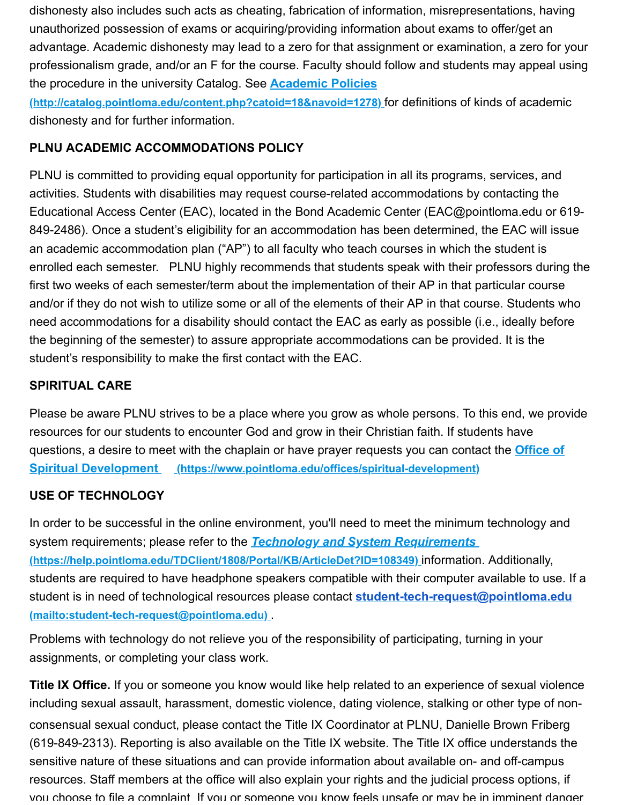dishonesty also includes such acts as cheating, fabrication of information, misrepresentations, having unauthorized possession of exams or acquiring/providing information about exams to offer/get an advantage. Academic dishonesty may lead to a zero for that assignment or examination, a zero for your professionalism grade, and/or an F for the course. Faculty should follow and students may appeal using the procedure in the university Catalog. See **Academic Policies**

**[\(http://catalog.pointloma.edu/content.php?catoid=18&navoid=1278\)](http://catalog.pointloma.edu/content.php?catoid=18&navoid=1278)** for definitions of kinds of academic dishonesty and for further information.

## **PLNU ACADEMIC ACCOMMODATIONS POLICY**

PLNU is committed to providing equal opportunity for participation in all its programs, services, and activities. Students with disabilities may request course-related accommodations by contacting the Educational Access Center (EAC), located in the Bond Academic Center (EAC@pointloma.edu or 619- 849-2486). Once a student's eligibility for an accommodation has been determined, the EAC will issue an academic accommodation plan ("AP") to all faculty who teach courses in which the student is enrolled each semester. PLNU highly recommends that students speak with their professors during the first two weeks of each semester/term about the implementation of their AP in that particular course and/or if they do not wish to utilize some or all of the elements of their AP in that course. Students who need accommodations for a disability should contact the EAC as early as possible (i.e., ideally before the beginning of the semester) to assure appropriate accommodations can be provided. It is the student's responsibility to make the first contact with the EAC.

## **SPIRITUAL CARE**

Please be aware PLNU strives to be a place where you grow as whole persons. To this end, we provide resources for our students to encounter God and grow in their Christian faith. If students have [questions, a desire to meet with the chaplain or have prayer requests you can contact the](https://www.pointloma.edu/offices/spiritual-development) **Office of Spiritual Development (https://www.pointloma.edu/offices/spiritual-development)**

### **USE OF TECHNOLOGY**

In order to be successful in the online environment, you'll need to meet the minimum technology and system requirements; please refer to the *Technology and System Requirements*  **[\(https://help.pointloma.edu/TDClient/1808/Portal/KB/ArticleDet?ID=108349\)](https://help.pointloma.edu/TDClient/1808/Portal/KB/ArticleDet?ID=108349)** information. Additionally, students are required to have headphone speakers compatible with their computer available to use. If a [student is in need of technological resources please contact](mailto:student-tech-request@pointloma.edu) **student-tech-request@pointloma.edu (mailto:student-tech-request@pointloma.edu)** .

Problems with technology do not relieve you of the responsibility of participating, turning in your assignments, or completing your class work.

**Title IX Office.** If you or someone you know would like help related to an experience of sexual violence including sexual assault, harassment, domestic violence, dating violence, stalking or other type of nonconsensual sexual conduct, please contact the Title IX Coordinator at PLNU, Danielle Brown Friberg (619-849-2313). Reporting is also available on the Title IX website. The Title IX office understands the sensitive nature of these situations and can provide information about available on- and off-campus resources. Staff members at the office will also explain your rights and the judicial process options, if you choose to file a complaint If you or someone you know feels unsafe or may be in imminent danger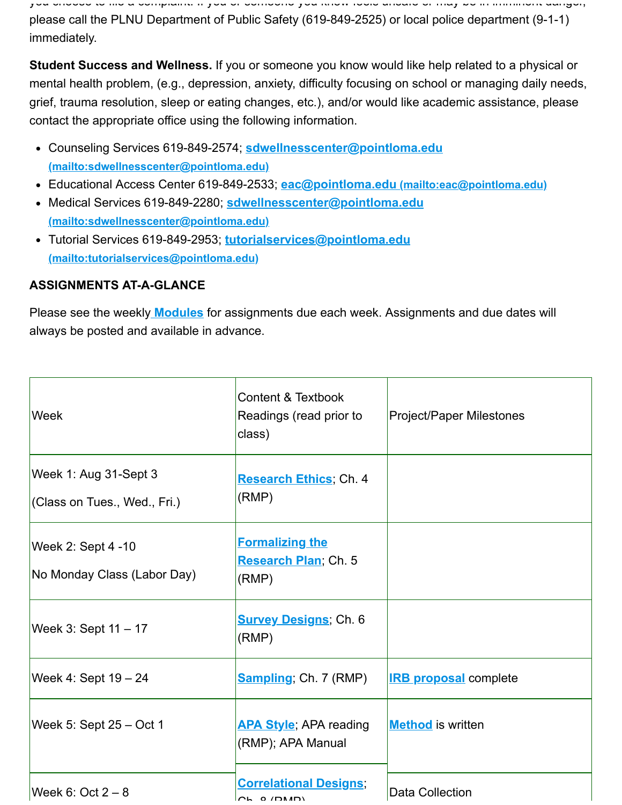you choose to file a complaint. If you or someone you know feels unsafe or may be in imminent danger, please call the PLNU Department of Public Safety (619-849-2525) or local police department (9-1-1) immediately.

**Student Success and Wellness.** If you or someone you know would like help related to a physical or mental health problem, (e.g., depression, anxiety, difficulty focusing on school or managing daily needs, grief, trauma resolution, sleep or eating changes, etc.), and/or would like academic assistance, please contact the appropriate office using the following information.

- Counseling Services 619-849-2574; **sdwellnesscenter@pointloma.edu [\(mailto:sdwellnesscenter@pointloma.edu\)](mailto:sdwellnesscenter@pointloma.edu)**
- Educational Access Center 619-849-2533; **eac@pointloma.edu [\(mailto:eac@pointloma.edu\)](mailto:eac@pointloma.edu)**
- Medical Services 619-849-2280; **sdwellnesscenter@pointloma.edu [\(mailto:sdwellnesscenter@pointloma.edu\)](mailto:sdwellnesscenter@pointloma.edu)**
- Tutorial Services 619-849-2953; **tutorialservices@pointloma.edu [\(mailto:tutorialservices@pointloma.edu\)](mailto:tutorialservices@pointloma.edu)**

## **ASSIGNMENTS AT-A-GLANCE**

Please see the weekly **[Modules](https://canvas.pointloma.edu/courses/57698/modules)** for assignments due each week. Assignments and due dates will always be posted and available in advance.

| <b>Week</b>                                               | <b>Content &amp; Textbook</b><br>Readings (read prior to<br>class)                | Project/Paper Milestones     |
|-----------------------------------------------------------|-----------------------------------------------------------------------------------|------------------------------|
| Week 1: Aug 31-Sept 3<br>$ $ (Class on Tues., Wed., Fri.) | Research Ethics; Ch. 4<br>(RMP)                                                   |                              |
| Week 2: Sept $4 - 10$<br>No Monday Class (Labor Day)      | <b>Formalizing the</b><br>Research Plan; Ch. 5<br>(RMP)                           |                              |
| <b>Week 3: Sept 11 - 17</b>                               | <b>Survey Designs; Ch. 6</b><br>(RMP)                                             |                              |
| <b>Week 4: Sept 19 – 24</b>                               | <b>Sampling</b> ; Ch. 7 (RMP)                                                     | <b>IRB proposal</b> complete |
| Week 5: Sept $25 - Oct 1$                                 | <b>APA Style</b> ; APA reading<br>(RMP); APA Manual                               | <b>Method</b> is written     |
| Week 6: Oct $2-8$                                         | <b>Correlational Designs;</b><br>$\cap$ $\sim$ $\cap$ $\cap$ $\cap$ $\cap$ $\cap$ | <b>Data Collection</b>       |